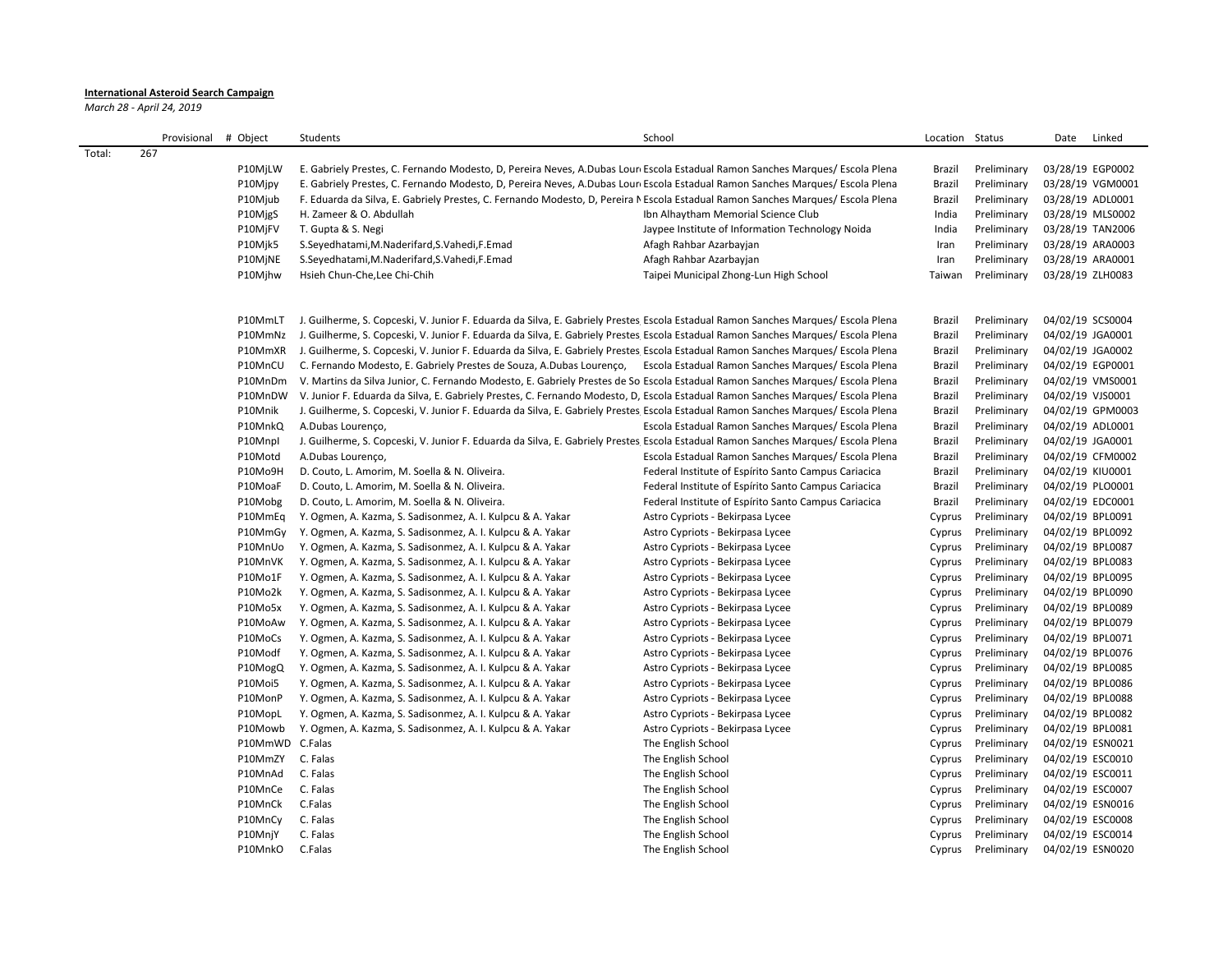## **International Asteroid Search Campaign**

*March 28 - April 24, 2019*

|        | Provisional # Object |                 | Students                                                                                                                          | School                                               | Location Status |             | Linked<br>Date   |
|--------|----------------------|-----------------|-----------------------------------------------------------------------------------------------------------------------------------|------------------------------------------------------|-----------------|-------------|------------------|
| Total: | 267                  |                 |                                                                                                                                   |                                                      |                 |             |                  |
|        |                      | P10MjLW         | E. Gabriely Prestes, C. Fernando Modesto, D, Pereira Neves, A.Dubas Lour Escola Estadual Ramon Sanches Marques/Escola Plena       |                                                      | Brazil          | Preliminary | 03/28/19 EGP0002 |
|        |                      | P10Mjpy         | E. Gabriely Prestes, C. Fernando Modesto, D, Pereira Neves, A.Dubas Lour Escola Estadual Ramon Sanches Marques/Escola Plena       |                                                      | Brazil          | Preliminary | 03/28/19 VGM0001 |
|        |                      | P10Mjub         | F. Eduarda da Silva, E. Gabriely Prestes, C. Fernando Modesto, D. Pereira NEscola Estadual Ramon Sanches Marques/Escola Plena     |                                                      | Brazil          | Preliminary | 03/28/19 ADL0001 |
|        |                      | P10MjgS         | H. Zameer & O. Abdullah                                                                                                           | Ibn Alhaytham Memorial Science Club                  | India           | Preliminary | 03/28/19 MLS0002 |
|        |                      | P10MjFV         | T. Gupta & S. Negi                                                                                                                | Jaypee Institute of Information Technology Noida     | India           | Preliminary | 03/28/19 TAN2006 |
|        |                      | P10Mjk5         | S.Seyedhatami, M.Naderifard, S.Vahedi, F.Emad                                                                                     | Afagh Rahbar Azarbayjan                              | Iran            | Preliminary | 03/28/19 ARA0003 |
|        |                      | P10MjNE         | S.Seyedhatami, M.Naderifard, S.Vahedi, F.Emad                                                                                     | Afagh Rahbar Azarbayjan                              | Iran            | Preliminary | 03/28/19 ARA0001 |
|        |                      | P10Mjhw         | Hsieh Chun-Che, Lee Chi-Chih                                                                                                      | Taipei Municipal Zhong-Lun High School               | Taiwan          | Preliminary | 03/28/19 ZLH0083 |
|        |                      | P10MmLT         | J. Guilherme, S. Copceski, V. Junior F. Eduarda da Silva, E. Gabriely Prestes Escola Estadual Ramon Sanches Marques/ Escola Plena |                                                      | Brazil          | Preliminary | 04/02/19 SCS0004 |
|        |                      | P10MmNz         | J. Guilherme, S. Copceski, V. Junior F. Eduarda da Silva, E. Gabriely Prestes Escola Estadual Ramon Sanches Marques/ Escola Plena |                                                      | Brazil          | Preliminary | 04/02/19 JGA0001 |
|        |                      | P10MmXR         | J. Guilherme, S. Copceski, V. Junior F. Eduarda da Silva, E. Gabriely Prestes Escola Estadual Ramon Sanches Marques/ Escola Plena |                                                      | Brazil          | Preliminary | 04/02/19 JGA0002 |
|        |                      | P10MnCU         | C. Fernando Modesto, E. Gabriely Prestes de Souza, A.Dubas Lourenço, Escola Estadual Ramon Sanches Marques/Escola Plena           |                                                      | Brazil          | Preliminary | 04/02/19 EGP0001 |
|        |                      | P10MnDm         | V. Martins da Silva Junior, C. Fernando Modesto, E. Gabriely Prestes de So Escola Estadual Ramon Sanches Marques/ Escola Plena    |                                                      | Brazil          | Preliminary | 04/02/19 VMS0001 |
|        |                      | P10MnDW         | V. Junior F. Eduarda da Silva, E. Gabriely Prestes, C. Fernando Modesto, D, Escola Estadual Ramon Sanches Marques/Escola Plena    |                                                      | Brazil          | Preliminary | 04/02/19 VJS0001 |
|        |                      | P10Mnik         | J. Guilherme, S. Copceski, V. Junior F. Eduarda da Silva, E. Gabriely Prestes Escola Estadual Ramon Sanches Marques/Escola Plena  |                                                      | Brazil          | Preliminary | 04/02/19 GPM0003 |
|        |                      | P10MnkQ         | A.Dubas Lourenço,                                                                                                                 | Escola Estadual Ramon Sanches Marques/ Escola Plena  | Brazil          | Preliminary | 04/02/19 ADL0001 |
|        |                      | P10Mnpl         | J. Guilherme, S. Copceski, V. Junior F. Eduarda da Silva, E. Gabriely Prestes Escola Estadual Ramon Sanches Marques/Escola Plena  |                                                      | Brazil          | Preliminary | 04/02/19 JGA0001 |
|        |                      | P10Motd         | A.Dubas Lourenço,                                                                                                                 | Escola Estadual Ramon Sanches Marques/ Escola Plena  | Brazil          | Preliminary | 04/02/19 CFM0002 |
|        |                      | P10Mo9H         | D. Couto, L. Amorim, M. Soella & N. Oliveira.                                                                                     | Federal Institute of Espírito Santo Campus Cariacica | Brazil          | Preliminary | 04/02/19 KIU0001 |
|        |                      | P10MoaF         | D. Couto, L. Amorim, M. Soella & N. Oliveira.                                                                                     | Federal Institute of Espírito Santo Campus Cariacica | Brazil          | Preliminary | 04/02/19 PLO0001 |
|        |                      | P10Mobg         | D. Couto, L. Amorim, M. Soella & N. Oliveira.                                                                                     | Federal Institute of Espírito Santo Campus Cariacica | Brazil          | Preliminary | 04/02/19 EDC0001 |
|        |                      | P10MmEg         | Y. Ogmen, A. Kazma, S. Sadisonmez, A. I. Kulpcu & A. Yakar                                                                        | Astro Cypriots - Bekirpasa Lycee                     | Cyprus          | Preliminary | 04/02/19 BPL0091 |
|        |                      | P10MmGy         | Y. Ogmen, A. Kazma, S. Sadisonmez, A. I. Kulpcu & A. Yakar                                                                        | Astro Cypriots - Bekirpasa Lycee                     | Cyprus          | Preliminary | 04/02/19 BPL0092 |
|        |                      | P10MnUo         | Y. Ogmen, A. Kazma, S. Sadisonmez, A. I. Kulpcu & A. Yakar                                                                        | Astro Cypriots - Bekirpasa Lycee                     | Cyprus          | Preliminary | 04/02/19 BPL0087 |
|        |                      | P10MnVK         | Y. Ogmen, A. Kazma, S. Sadisonmez, A. I. Kulpcu & A. Yakar                                                                        | Astro Cypriots - Bekirpasa Lycee                     | Cyprus          | Preliminary | 04/02/19 BPL0083 |
|        |                      | P10Mo1F         | Y. Ogmen, A. Kazma, S. Sadisonmez, A. I. Kulpcu & A. Yakar                                                                        | Astro Cypriots - Bekirpasa Lycee                     | Cyprus          | Preliminary | 04/02/19 BPL0095 |
|        |                      | P10Mo2k         | Y. Ogmen, A. Kazma, S. Sadisonmez, A. I. Kulpcu & A. Yakar                                                                        | Astro Cypriots - Bekirpasa Lycee                     | Cyprus          | Preliminary | 04/02/19 BPL0090 |
|        |                      | P10Mo5x         | Y. Ogmen, A. Kazma, S. Sadisonmez, A. I. Kulpcu & A. Yakar                                                                        | Astro Cypriots - Bekirpasa Lycee                     | Cyprus          | Preliminary | 04/02/19 BPL0089 |
|        |                      | P10MoAw         | Y. Ogmen, A. Kazma, S. Sadisonmez, A. I. Kulpcu & A. Yakar                                                                        | Astro Cypriots - Bekirpasa Lycee                     | Cyprus          | Preliminary | 04/02/19 BPL0079 |
|        |                      | P10MoCs         | Y. Ogmen, A. Kazma, S. Sadisonmez, A. I. Kulpcu & A. Yakar                                                                        | Astro Cypriots - Bekirpasa Lycee                     | Cyprus          | Preliminary | 04/02/19 BPL0071 |
|        |                      | P10Modf         | Y. Ogmen, A. Kazma, S. Sadisonmez, A. I. Kulpcu & A. Yakar                                                                        | Astro Cypriots - Bekirpasa Lycee                     | Cyprus          | Preliminary | 04/02/19 BPL0076 |
|        |                      | P10MogQ         | Y. Ogmen, A. Kazma, S. Sadisonmez, A. I. Kulpcu & A. Yakar                                                                        | Astro Cypriots - Bekirpasa Lycee                     | Cyprus          | Preliminary | 04/02/19 BPL0085 |
|        |                      | P10Moi5         | Y. Ogmen, A. Kazma, S. Sadisonmez, A. I. Kulpcu & A. Yakar                                                                        | Astro Cypriots - Bekirpasa Lycee                     | Cyprus          | Preliminary | 04/02/19 BPL0086 |
|        |                      | P10MonP         | Y. Ogmen, A. Kazma, S. Sadisonmez, A. I. Kulpcu & A. Yakar                                                                        | Astro Cypriots - Bekirpasa Lycee                     | Cyprus          | Preliminary | 04/02/19 BPL0088 |
|        |                      | P10MopL         | Y. Ogmen, A. Kazma, S. Sadisonmez, A. I. Kulpcu & A. Yakar                                                                        | Astro Cypriots - Bekirpasa Lycee                     | Cyprus          | Preliminary | 04/02/19 BPL0082 |
|        |                      | P10Mowb         | Y. Ogmen, A. Kazma, S. Sadisonmez, A. I. Kulpcu & A. Yakar                                                                        | Astro Cypriots - Bekirpasa Lycee                     | Cyprus          | Preliminary | 04/02/19 BPL0081 |
|        |                      | P10MmWD C.Falas |                                                                                                                                   | The English School                                   | Cyprus          | Preliminary | 04/02/19 ESN0021 |
|        |                      | P10MmZY         | C. Falas                                                                                                                          | The English School                                   | Cyprus          | Preliminary | 04/02/19 ESC0010 |
|        |                      | P10MnAd         | C. Falas                                                                                                                          | The English School                                   | Cyprus          | Preliminary | 04/02/19 ESC0011 |
|        |                      | P10MnCe         | C. Falas                                                                                                                          | The English School                                   | Cyprus          | Preliminary | 04/02/19 ESC0007 |
|        |                      | P10MnCk         | C.Falas                                                                                                                           | The English School                                   | Cyprus          | Preliminary | 04/02/19 ESN0016 |
|        |                      | P10MnCy         | C. Falas                                                                                                                          | The English School                                   | Cyprus          | Preliminary | 04/02/19 ESC0008 |
|        |                      | P10MnjY         | C. Falas                                                                                                                          | The English School                                   | Cyprus          | Preliminary | 04/02/19 ESC0014 |
|        |                      | P10MnkO         | C.Falas                                                                                                                           | The English School                                   | Cyprus          | Preliminary | 04/02/19 ESN0020 |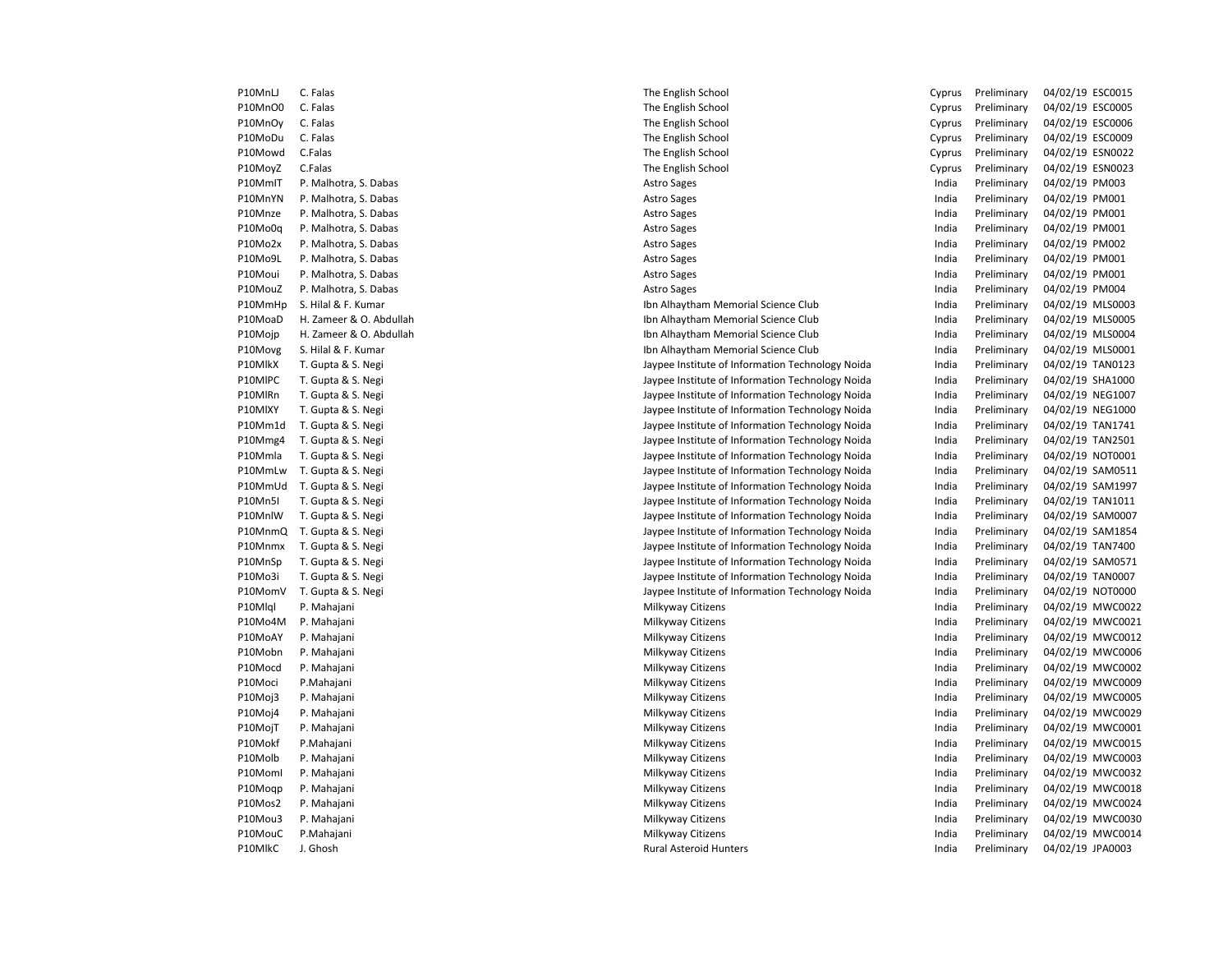| PIUNINLJ | Ć.<br>Falas           |
|----------|-----------------------|
| P10MnO0  | C. Falas              |
| P10MnOy  | C. Falas              |
| P10MoDu  | C. Falas              |
| P10Mowd  | C.Falas               |
| P10MoyZ  | C.Falas               |
| P10MmIT  | P. Malhotra, S. Dabas |
| P10MnYN  | P. Malhotra, S. Dabas |
| P10Mnze  | P. Malhotra, S. Dabas |
| P10Mo0q  | P. Malhotra, S. Dabas |
| P10Mo2x  | P. Malhotra, S. Dabas |
| P10Mo9L  | P. Malhotra, S. Dabas |
| P10Moui  | P. Malhotra, S. Dabas |
| P10MouZ  | P. Malhotra, S. Dabas |
| P10MmHp  | S. Hilal & F. Kumar   |
| P10MoaD  | H. Zameer & O. Abdul  |
| P10Mojp  | H. Zameer & O. Abdul  |
| P10Movg  | S. Hilal & F. Kumar   |
| P10MlkX  | T. Gupta & S. Negi    |
| P10MIPC  | T. Gupta & S. Negi    |
| P10MlRn  | T. Gupta & S. Negi    |
| P10MIXY  | T. Gupta & S. Negi    |
| P10Mm1d  | T. Gupta & S. Negi    |
| P10Mmg4  | T. Gupta & S. Negi    |
| P10Mmla  | T. Gupta & S. Negi    |
| P10MmLw  | T. Gupta & S. Negi    |
| P10MmUd  | T. Gupta & S. Negi    |
| P10Mn5I  | T. Gupta & S. Negi    |
| P10MnlW  | T. Gupta & S. Negi    |
| P10MnmQ  | T. Gupta & S. Negi    |
| P10Mnmx  | T. Gupta & S. Negi    |
| P10MnSp  | T. Gupta & S. Negi    |
| P10Mo3i  | T. Gupta & S. Negi    |
| P10MomV  | T. Gupta & S. Negi    |
| P10Mlql  | P. Mahajani           |
| P10Mo4M  | P. Mahajani           |
| P10MoAY  | P. Mahajani           |
| P10Mobn  | P. Mahajani           |
| P10Mocd  | P. Mahajani           |
| P10Moci  | P.Mahajani            |
| P10Moj3  | P. Mahajani           |
| P10Moj4  | P. Mahajani           |
| P10MojT  | P. Mahajani           |
| P10Mokf  | P.Mahajani            |
| P10Molb  | P. Mahajani           |
| P10Moml  | P. Mahajani           |
| P10Mogp  | P. Mahajani           |
| P10Mos2  | P. Mahajani           |
| P10Mou3  | P. Mahajani           |
| P10MouC  | P.Mahajani            |
| P10MlkC  | J. Ghosh              |

| P10MnLJ | C. Falas                | The English School                               | Cyprus | Preliminary | 04/02/19 ESC0015 |
|---------|-------------------------|--------------------------------------------------|--------|-------------|------------------|
| P10MnO0 | C. Falas                | The English School                               | Cyprus | Preliminary | 04/02/19 ESC0005 |
| P10MnOy | C. Falas                | The English School                               | Cyprus | Preliminary | 04/02/19 ESC0006 |
| P10MoDu | C. Falas                | The English School                               | Cyprus | Preliminary | 04/02/19 ESC0009 |
| P10Mowd | C.Falas                 | The English School                               | Cyprus | Preliminary | 04/02/19 ESN0022 |
| P10MoyZ | C.Falas                 | The English School                               | Cyprus | Preliminary | 04/02/19 ESN0023 |
| P10MmIT | P. Malhotra, S. Dabas   | <b>Astro Sages</b>                               | India  | Preliminary | 04/02/19 PM003   |
| P10MnYN | P. Malhotra, S. Dabas   | <b>Astro Sages</b>                               | India  | Preliminary | 04/02/19 PM001   |
| P10Mnze | P. Malhotra, S. Dabas   | <b>Astro Sages</b>                               | India  | Preliminary | 04/02/19 PM001   |
| P10Mo0q | P. Malhotra, S. Dabas   | <b>Astro Sages</b>                               | India  | Preliminary | 04/02/19 PM001   |
| P10Mo2x | P. Malhotra, S. Dabas   | <b>Astro Sages</b>                               | India  | Preliminary | 04/02/19 PM002   |
| P10Mo9L | P. Malhotra, S. Dabas   | Astro Sages                                      | India  | Preliminary | 04/02/19 PM001   |
| P10Moui | P. Malhotra, S. Dabas   | <b>Astro Sages</b>                               | India  | Preliminary | 04/02/19 PM001   |
| P10MouZ | P. Malhotra, S. Dabas   | <b>Astro Sages</b>                               | India  | Preliminary | 04/02/19 PM004   |
| P10MmHp | S. Hilal & F. Kumar     | Ibn Alhaytham Memorial Science Club              | India  | Preliminary | 04/02/19 MLS0003 |
| P10MoaD | H. Zameer & O. Abdullah | Ibn Alhaytham Memorial Science Club              | India  | Preliminary | 04/02/19 MLS0005 |
| P10Mojp | H. Zameer & O. Abdullah | Ibn Alhaytham Memorial Science Club              | India  | Preliminary | 04/02/19 MLS0004 |
| P10Movg | S. Hilal & F. Kumar     | Ibn Alhaytham Memorial Science Club              | India  | Preliminary | 04/02/19 MLS0001 |
| P10MlkX | T. Gupta & S. Negi      | Jaypee Institute of Information Technology Noida | India  | Preliminary | 04/02/19 TAN0123 |
| P10MIPC | T. Gupta & S. Negi      | Jaypee Institute of Information Technology Noida | India  | Preliminary | 04/02/19 SHA1000 |
| P10MlRn | T. Gupta & S. Negi      | Jaypee Institute of Information Technology Noida | India  | Preliminary | 04/02/19 NEG1007 |
| P10MIXY | T. Gupta & S. Negi      | Jaypee Institute of Information Technology Noida | India  | Preliminary | 04/02/19 NEG1000 |
| P10Mm1d | T. Gupta & S. Negi      | Jaypee Institute of Information Technology Noida | India  | Preliminary | 04/02/19 TAN1741 |
| P10Mmg4 | T. Gupta & S. Negi      | Jaypee Institute of Information Technology Noida | India  | Preliminary | 04/02/19 TAN2501 |
| P10Mmla | T. Gupta & S. Negi      | Jaypee Institute of Information Technology Noida | India  | Preliminary | 04/02/19 NOT0001 |
| P10MmLw | T. Gupta & S. Negi      | Jaypee Institute of Information Technology Noida | India  | Preliminary | 04/02/19 SAM0511 |
| P10MmUd | T. Gupta & S. Negi      | Jaypee Institute of Information Technology Noida | India  | Preliminary | 04/02/19 SAM1997 |
| P10Mn5I | T. Gupta & S. Negi      | Jaypee Institute of Information Technology Noida | India  | Preliminary | 04/02/19 TAN1011 |
| P10MnlW | T. Gupta & S. Negi      | Jaypee Institute of Information Technology Noida | India  | Preliminary | 04/02/19 SAM0007 |
| P10MnmQ | T. Gupta & S. Negi      | Jaypee Institute of Information Technology Noida | India  | Preliminary | 04/02/19 SAM1854 |
| P10Mnmx | T. Gupta & S. Negi      | Jaypee Institute of Information Technology Noida | India  | Preliminary | 04/02/19 TAN7400 |
| P10MnSp | T. Gupta & S. Negi      | Jaypee Institute of Information Technology Noida | India  | Preliminary | 04/02/19 SAM0571 |
| P10Mo3i | T. Gupta & S. Negi      | Jaypee Institute of Information Technology Noida | India  | Preliminary | 04/02/19 TAN0007 |
| P10MomV | T. Gupta & S. Negi      | Jaypee Institute of Information Technology Noida | India  | Preliminary | 04/02/19 NOT0000 |
| P10Mlql | P. Mahajani             | Milkyway Citizens                                | India  | Preliminary | 04/02/19 MWC0022 |
| P10Mo4M | P. Mahajani             | Milkyway Citizens                                | India  | Preliminary | 04/02/19 MWC0021 |
| P10MoAY | P. Mahajani             | Milkyway Citizens                                | India  | Preliminary | 04/02/19 MWC0012 |
| P10Mobn | P. Mahajani             | Milkyway Citizens                                | India  | Preliminary | 04/02/19 MWC0006 |
| P10Mocd | P. Mahajani             | Milkyway Citizens                                | India  | Preliminary | 04/02/19 MWC0002 |
| P10Moci | P.Mahajani              | Milkyway Citizens                                | India  | Preliminary | 04/02/19 MWC0009 |
| P10Moj3 | P. Mahajani             | Milkyway Citizens                                | India  | Preliminary | 04/02/19 MWC0005 |
| P10Moj4 | P. Mahajani             | Milkyway Citizens                                | India  | Preliminary | 04/02/19 MWC0029 |
| P10MojT | P. Mahajani             | Milkyway Citizens                                | India  | Preliminary | 04/02/19 MWC0001 |
| P10Mokf | P.Mahajani              | Milkyway Citizens                                | India  | Preliminary | 04/02/19 MWC0015 |
| P10Molb | P. Mahajani             | Milkyway Citizens                                | India  | Preliminary | 04/02/19 MWC0003 |
| P10Moml | P. Mahajani             | Milkyway Citizens                                | India  | Preliminary | 04/02/19 MWC0032 |
| P10Moqp | P. Mahajani             | Milkyway Citizens                                | India  | Preliminary | 04/02/19 MWC0018 |
| P10Mos2 | P. Mahajani             | Milkyway Citizens                                | India  | Preliminary | 04/02/19 MWC0024 |
| P10Mou3 | P. Mahajani             | Milkyway Citizens                                | India  | Preliminary | 04/02/19 MWC0030 |
| P10MouC | P.Mahajani              | Milkyway Citizens                                | India  | Preliminary | 04/02/19 MWC0014 |
|         |                         |                                                  |        |             |                  |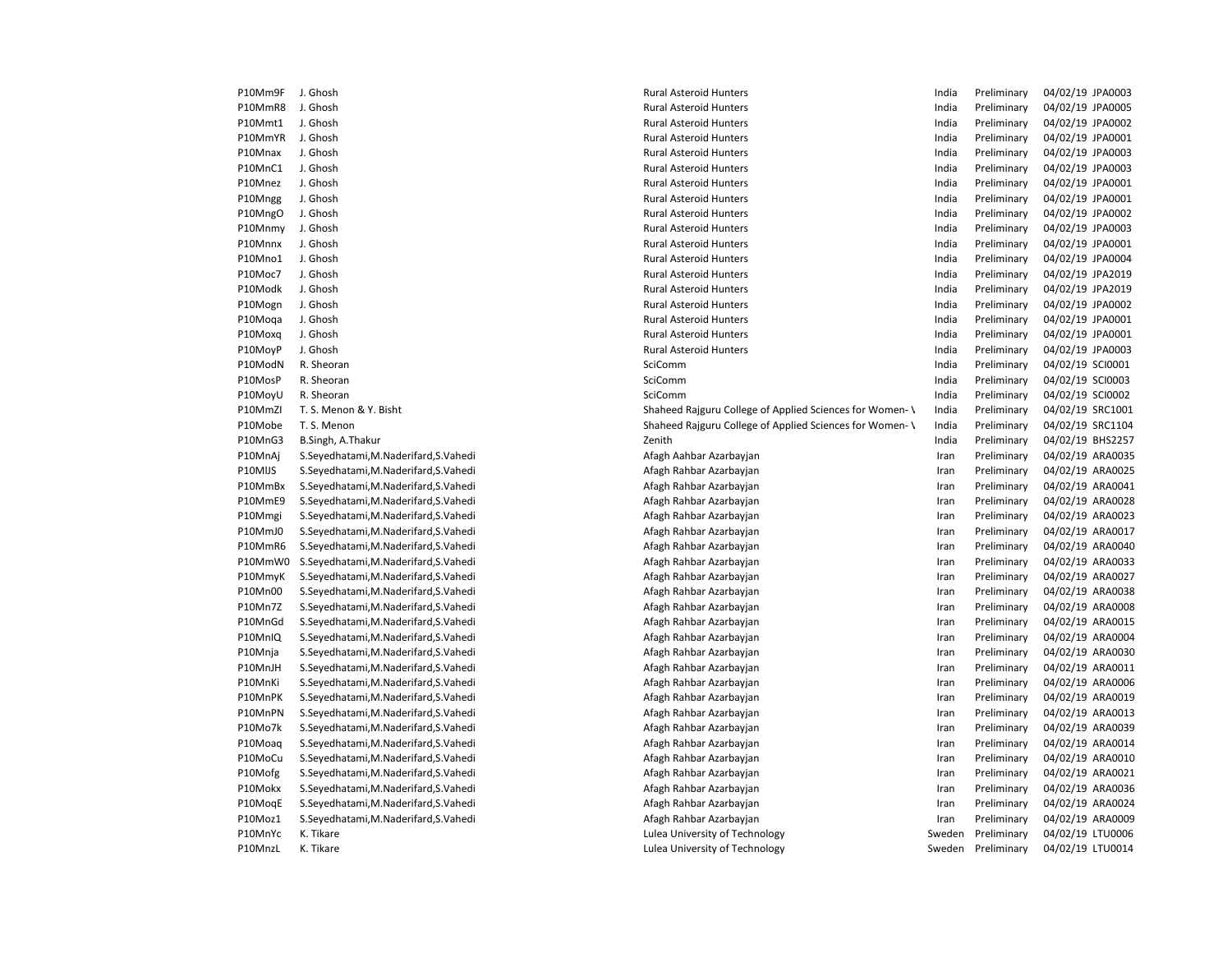| P10Mm9F | J. Ghosh                              | <b>Rural Asteroid Hunters</b>                            | India  | Preliminary | 04/02/19 JPA0003 |
|---------|---------------------------------------|----------------------------------------------------------|--------|-------------|------------------|
| P10MmR8 | J. Ghosh                              | <b>Rural Asteroid Hunters</b>                            | India  | Preliminary | 04/02/19 JPA0005 |
| P10Mmt1 | J. Ghosh                              | <b>Rural Asteroid Hunters</b>                            | India  | Preliminary | 04/02/19 JPA0002 |
| P10MmYR | J. Ghosh                              | <b>Rural Asteroid Hunters</b>                            | India  | Preliminary | 04/02/19 JPA0001 |
| P10Mnax | J. Ghosh                              | <b>Rural Asteroid Hunters</b>                            | India  | Preliminary | 04/02/19 JPA0003 |
| P10MnC1 | J. Ghosh                              | <b>Rural Asteroid Hunters</b>                            | India  | Preliminary | 04/02/19 JPA0003 |
| P10Mnez | J. Ghosh                              | <b>Rural Asteroid Hunters</b>                            | India  | Preliminary | 04/02/19 JPA0001 |
| P10Mngg | J. Ghosh                              | <b>Rural Asteroid Hunters</b>                            | India  | Preliminary | 04/02/19 JPA0001 |
| P10MngO | J. Ghosh                              | <b>Rural Asteroid Hunters</b>                            | India  | Preliminary | 04/02/19 JPA0002 |
| P10Mnmy | J. Ghosh                              | <b>Rural Asteroid Hunters</b>                            | India  | Preliminary | 04/02/19 JPA0003 |
| P10Mnnx | J. Ghosh                              | <b>Rural Asteroid Hunters</b>                            | India  | Preliminary | 04/02/19 JPA0001 |
| P10Mno1 | J. Ghosh                              | <b>Rural Asteroid Hunters</b>                            | India  | Preliminary | 04/02/19 JPA0004 |
| P10Moc7 | J. Ghosh                              | <b>Rural Asteroid Hunters</b>                            | India  | Preliminary | 04/02/19 JPA2019 |
| P10Modk | J. Ghosh                              | <b>Rural Asteroid Hunters</b>                            | India  | Preliminary | 04/02/19 JPA2019 |
| P10Mogn | J. Ghosh                              | <b>Rural Asteroid Hunters</b>                            | India  | Preliminary | 04/02/19 JPA0002 |
| P10Moga | J. Ghosh                              | <b>Rural Asteroid Hunters</b>                            | India  | Preliminary | 04/02/19 JPA0001 |
| P10Moxq | J. Ghosh                              | <b>Rural Asteroid Hunters</b>                            | India  | Preliminary | 04/02/19 JPA0001 |
| P10MoyP | J. Ghosh                              | <b>Rural Asteroid Hunters</b>                            | India  | Preliminary | 04/02/19 JPA0003 |
| P10ModN | R. Sheoran                            | SciComm                                                  | India  | Preliminary | 04/02/19 SCI0001 |
| P10MosP | R. Sheoran                            | SciComm                                                  | India  | Preliminary | 04/02/19 SCI0003 |
| P10MoyU | R. Sheoran                            | SciComm                                                  | India  | Preliminary | 04/02/19 SCI0002 |
| P10MmZI | T. S. Menon & Y. Bisht                | Shaheed Rajguru College of Applied Sciences for Women- \ | India  | Preliminary | 04/02/19 SRC1001 |
| P10Mobe | T. S. Menon                           | Shaheed Rajguru College of Applied Sciences for Women- \ | India  | Preliminary | 04/02/19 SRC1104 |
| P10MnG3 | B.Singh, A.Thakur                     | Zenith                                                   | India  | Preliminary | 04/02/19 BHS2257 |
| P10MnAj | S.Seyedhatami, M.Naderifard, S.Vahedi | Afagh Aahbar Azarbayjan                                  | Iran   | Preliminary | 04/02/19 ARA0035 |
| P10MIJS | S.Seyedhatami, M.Naderifard, S.Vahedi | Afagh Rahbar Azarbayjan                                  | Iran   | Preliminary | 04/02/19 ARA0025 |
| P10MmBx | S.Seyedhatami, M.Naderifard, S.Vahedi | Afagh Rahbar Azarbayjan                                  | Iran   | Preliminary | 04/02/19 ARA0041 |
| P10MmE9 | S.Seyedhatami, M.Naderifard, S.Vahedi | Afagh Rahbar Azarbayjan                                  | Iran   | Preliminary | 04/02/19 ARA0028 |
| P10Mmgi | S.Seyedhatami, M.Naderifard, S.Vahedi | Afagh Rahbar Azarbayjan                                  | Iran   | Preliminary | 04/02/19 ARA0023 |
| P10MmJ0 | S.Seyedhatami, M.Naderifard, S.Vahedi | Afagh Rahbar Azarbayjan                                  | Iran   | Preliminary | 04/02/19 ARA0017 |
| P10MmR6 | S.Seyedhatami, M.Naderifard, S.Vahedi | Afagh Rahbar Azarbayjan                                  | Iran   | Preliminary | 04/02/19 ARA0040 |
| P10MmW0 | S.Seyedhatami, M.Naderifard, S.Vahedi | Afagh Rahbar Azarbayjan                                  | Iran   | Preliminary | 04/02/19 ARA0033 |
| P10MmyK | S.Seyedhatami, M.Naderifard, S.Vahedi | Afagh Rahbar Azarbayjan                                  | Iran   | Preliminary | 04/02/19 ARA0027 |
| P10Mn00 | S.Seyedhatami, M.Naderifard, S.Vahedi | Afagh Rahbar Azarbayjan                                  | Iran   | Preliminary | 04/02/19 ARA0038 |
| P10Mn7Z | S.Seyedhatami, M.Naderifard, S.Vahedi | Afagh Rahbar Azarbayjan                                  | Iran   | Preliminary | 04/02/19 ARA0008 |
| P10MnGd | S.Seyedhatami, M.Naderifard, S.Vahedi | Afagh Rahbar Azarbayjan                                  | Iran   | Preliminary | 04/02/19 ARA0015 |
| P10MnIQ | S.Seyedhatami, M.Naderifard, S.Vahedi | Afagh Rahbar Azarbayjan                                  | Iran   | Preliminary | 04/02/19 ARA0004 |
| P10Mnja | S.Seyedhatami, M.Naderifard, S.Vahedi | Afagh Rahbar Azarbayjan                                  | Iran   | Preliminary | 04/02/19 ARA0030 |
| P10MnJH | S.Seyedhatami, M.Naderifard, S.Vahedi | Afagh Rahbar Azarbayjan                                  | Iran   | Preliminary | 04/02/19 ARA0011 |
| P10MnKi | S.Seyedhatami, M.Naderifard, S.Vahedi | Afagh Rahbar Azarbayjan                                  | Iran   | Preliminary | 04/02/19 ARA0006 |
| P10MnPK | S.Seyedhatami, M.Naderifard, S.Vahedi | Afagh Rahbar Azarbayjan                                  | Iran   | Preliminary | 04/02/19 ARA0019 |
| P10MnPN | S.Seyedhatami, M.Naderifard, S.Vahedi | Afagh Rahbar Azarbayjan                                  | Iran   | Preliminary | 04/02/19 ARA0013 |
| P10Mo7k | S.Seyedhatami, M.Naderifard, S.Vahedi | Afagh Rahbar Azarbayjan                                  | Iran   | Preliminary | 04/02/19 ARA0039 |
| P10Moaq | S.Seyedhatami, M.Naderifard, S.Vahedi | Afagh Rahbar Azarbayjan                                  | Iran   | Preliminary | 04/02/19 ARA0014 |
| P10MoCu | S.Seyedhatami, M.Naderifard, S.Vahedi | Afagh Rahbar Azarbayjan                                  | Iran   | Preliminary | 04/02/19 ARA0010 |
| P10Mofg | S.Seyedhatami, M.Naderifard, S.Vahedi | Afagh Rahbar Azarbayjan                                  | Iran   | Preliminary | 04/02/19 ARA0021 |
| P10Mokx | S.Seyedhatami, M.Naderifard, S.Vahedi | Afagh Rahbar Azarbayjan                                  | Iran   | Preliminary | 04/02/19 ARA0036 |
| P10MoqE | S.Seyedhatami, M.Naderifard, S.Vahedi | Afagh Rahbar Azarbayjan                                  | Iran   | Preliminary | 04/02/19 ARA0024 |
| P10Moz1 | S.Seyedhatami, M.Naderifard, S.Vahedi | Afagh Rahbar Azarbayjan                                  | Iran   | Preliminary | 04/02/19 ARA0009 |
| P10MnYc | K. Tikare                             | Lulea University of Technology                           | Sweden | Preliminary | 04/02/19 LTU0006 |
| P10MnzL | K. Tikare                             | Lulea University of Technology                           | Sweden | Preliminary | 04/02/19 LTU0014 |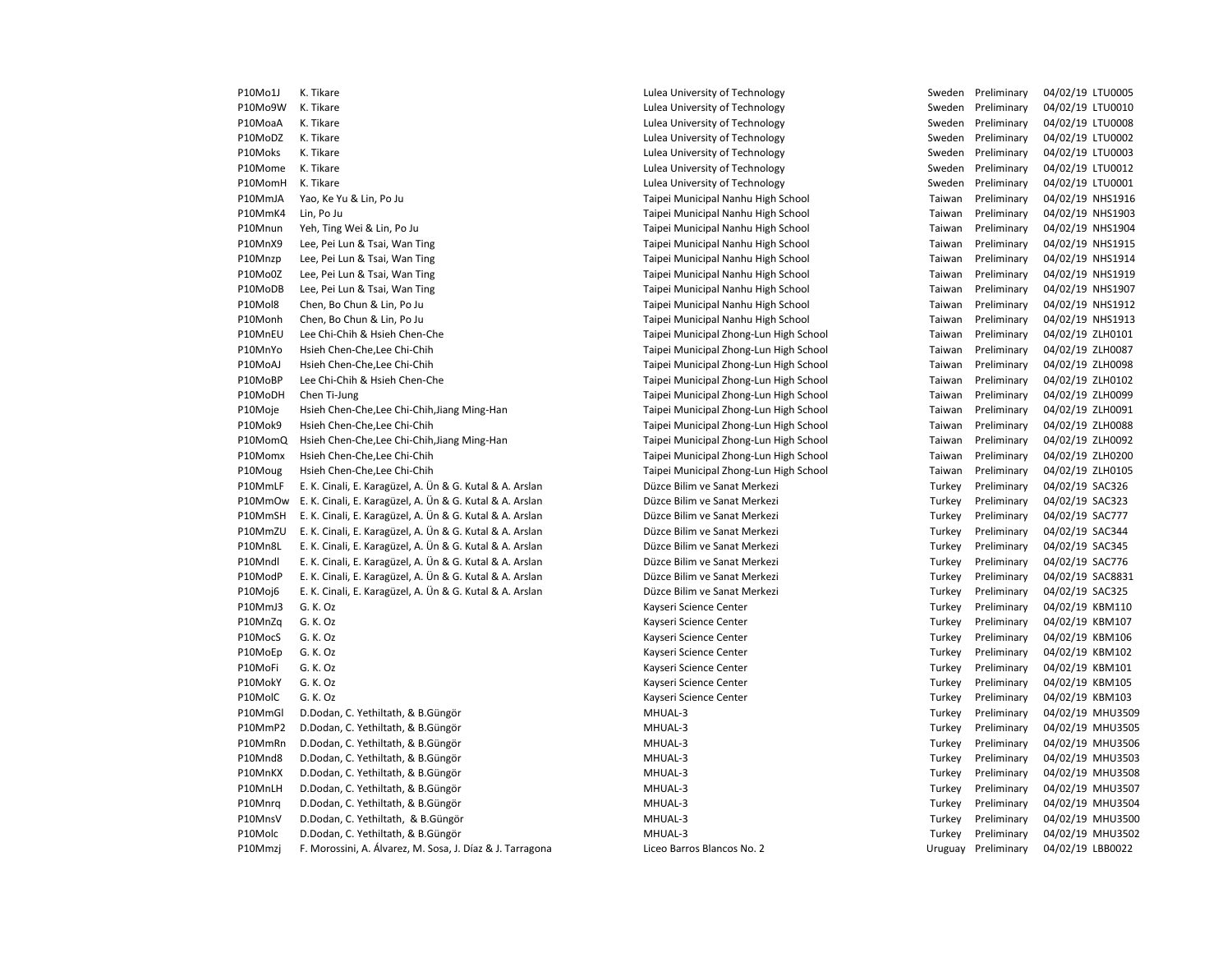P10Mo9W K. Tikare Camera Computers Computers Manual University of Technology Computers Sweden Preliminary 04/02/19 LTU0010 P10MoaA K. Tikare Subsett Controller Controller Lulea University of Technology Sweden Preliminary 04/02/19 LTU0008 P10MoDZ K. Tikare Subsett Controller Controller Culturea University of Technology Sweden Preliminary 04/02/19 LTU0002 P10Moks K. Tikare Lulea University of Technology Sweden Preliminary 04/02/19 LTU0003 P10Mome K. Tikare Campaca Chromome Chromome Lulea University of Technology Chromome Sweden Preliminary 04/02/19 LTU0012 P10MomH K. Tikare Camera Chromocom Chromocom Lulea University of Technology Chromocom Sweden Preliminary 04/02/19 LTU0001 P10MmJA Yao, Ke Yu & Lin, Po Ju Taipei Municipal Nanhu High School Taiwan Preliminary 04/02/19 NHS1916 P10MmK4 Lin, Po Ju Taipei Municipal Nanhu High School Taiwan Preliminary 04/02/19 NHS1903 P10Mnun Yeh, Ting Wei & Lin, Po Ju Taipei Municipal Nanhu High School Taiwan Preliminary 04/02/19 NHS1904 P10MnX9 Lee, Pei Lun & Tsai, Wan Ting Taipei Municipal Nanhu High School Taiwan Preliminary 04/02/19 NHS1915 P10Mnzp Lee, Pei Lun & Tsai, Wan Ting Taipei Taipei Municipal Nanhu High School Taiwan Preliminary 04/02/19 NHS1914 P10Mo0Z Lee, Pei Lun & Tsai, Wan Ting Taipei Taipei Municipal Nanhu High School Taiwan Preliminary 04/02/19 NHS1919 P10MoDB Lee, Pei Lun & Tsai, Wan Ting Taipei Municipal Nanhu High School Taiwan Preliminary 04/02/19 NHS1907 P10Mol8 Chen, Bo Chun & Lin, Po Ju Taipei Municipal Nanhu High School Taiwan Preliminary 04/02/19 NHS1912 P10Monh Chen, Bo Chun & Lin, Po Ju Taipei Municipal Nanhu High School Taiwan Preliminary 04/02/19 NHS1913 P10MnEU Lee Chi-Chih & Hsieh Chen-Che Taipei Municipal Zhong-Lun High School Taiwan Preliminary 04/02/19 ZLH0101 P10MnYo Hsieh Chen-Che,Lee Chi-Chih Taipei Municipal Zhong-Lun High School Taiwan Preliminary 04/02/19 ZLH0087 P10MoAJ Hsieh Chen-Che,Lee Chi-Chih Taipei Municipal Zhong-Lun High School Taiwan Preliminary 04/02/19 ZLH0098 P10MoBP Lee Chi-Chih & Hsieh Chen-Che Taipei Municipal Zhong-Lun High School Taiwan Preliminary 04/02/19 ZLH0102 P10MoDH Chen Ti-Jung Same Taipei Municipal Zhong-Lun High School Taiwan Preliminary 04/02/19 ZLH0099 P10Moje Hsieh Chen-Che,Lee Chi-Chih,Jiang Ming-Han Taipei Municipal Zhong-Lun High School Taiwan Preliminary 04/02/19 ZLH0091 P10Mok9 Hsieh Chen-Che,Lee Chi-Chih Taipei Municipal Zhong-Lun High School Taiwan Preliminary 04/02/19 ZLH0088 P10MomQ Hsieh Chen-Che,Lee Chi-Chih,Jiang Ming-Han Taipei Municipal Zhong-Lun High School Taiwan Preliminary 04/02/19 ZLH0092 P10Momx Hsieh Chen-Che,Lee Chi-Chih Taipei Municipal Zhong-Lun High School Taiwan Preliminary 04/02/19 ZLH0200 P10Moug Hsieh Chen-Che,Lee Chi-Chih Taipei Municipal Zhong-Lun High School Taiwan Preliminary 04/02/19 ZLH0105 P10MmLF E. K. Cinali, E. Karagüzel, A. Ün & G. Kutal & A. Arslan Düzce Bilim ve Sanat Merkezi Preliminary Preliminary 04/02/19 SAC326 P10MmOw E. K. Cinali, E. Karagüzel, A. Ün & G. Kutal & A. Arslan Düzce Bilim ve Sanat Merkezi Turkey Preliminary 04/02/19 SAC323 P10MmSH E. K. Cinali, E. Karagüzel, A. Ün & G. Kutal & A. Arslan Düzce Bilim ve Sanat Merkezi Preliminary Preliminary 04/02/19 SAC777 P10MmZU E. K. Cinali, E. Karagüzel, A. Ün & G. Kutal & A. Arslan Düzce Bilim ve Sanat Merkezi Turkey Preliminary 04/02/19 SAC344 P10Mn8L E. K. Cinali, E. Karagüzel, A. Ün & G. Kutal & A. Arslan Düzce Bilim ve Sanat Merkezi Turkey Preliminary 04/02/19 SAC345 P10Mndl E. K. Cinali, E. Karagüzel, A. Ün & G. Kutal & A. Arslan Düzce Bilim ve Sanat Merkezi Turkey Preliminary 04/02/19 SAC776 P10ModP E. K. Cinali, E. Karagüzel, A. Ün & G. Kutal & A. Arslan Düzce Bilim ve Sanat Merkezi Preliminary Preliminary 04/02/19 SAC8831 P10Moj6 E. K. Cinali, E. Karagüzel, A. Ün & G. Kutal & A. Arslan Düzce Bilim ve Sanat Merkezi Turkey Preliminary 04/02/19 SAC325 P10MmJ3 G. K. Oz **Martia Contract Center** Kayseri Science Center **Turkey Preliminary 04/02/19 KBM110** P10MnZq G. K. Oz **Markov Charles Content Content Content** Captus Content Content Content Content Content Content Content Content Content Content Content Content Content Content Content Content Content Content Content Conte P10MocS G. K. Oz **Example 2018 Contract Center** Kayseri Science Center Turkey Preliminary 04/02/19 KBM106 P10MoEp G. K. Oz **Kayseri Science Center** Communic Center Turkey Preliminary 04/02/19 KBM102 P10MoFi G. K. Oz Sand Content Content Content Center Center Center Turkey Preliminary 04/02/19 KBM101 P10MokY G. K. Oz Sand Content Content Content Center Center Center Turkey Preliminary 04/02/19 KBM105 P10MolC G. K. Oz **Example 2018 Turkey Preliminary 04/02/19 KBM103** Kayseri Science Center Turkey Preliminary 04/02/19 KBM103 P10MmGl D.Dodan, C. Yethiltath, & B.Güngör MHUAL-3 MHUAL-3 Turkey Preliminary 04/02/19 MHU3509 P10MmP2 D.Dodan, C. Yethiltath, & B.Güngör MHUAL-3 MHUAL-3 Turkey Preliminary 04/02/19 MHU3505 P10MmRn D.Dodan, C. Yethiltath, & B.Güngör MHUAL-3 MHUAL-3 Turkey Preliminary 04/02/19 MHU3506 P10Mnd8 D.Dodan, C. Yethiltath, & B.Güngör National MHUAL-3 Network of the Case of the Case of the Case of the MHUAL-3 Turkey Preliminary 04/02/19 MHU3503 P10MnKX D.Dodan, C. Yethiltath, & B.Güngör MHUAL-3 MHUAL-3 Turkey Preliminary 04/02/19 MHU3508 P10MnLH D.Dodan, C. Yethiltath, & B.Güngör Turkey Preliminary 04/02/19 MHUAL-3 Turkey Preliminary 04/02/19 MHU3507 P10Mnra D.Dodan, C. Yethiltath, & B.Güngör MHUAL-9 MHUAL-3 MHUAL-3 Turkey Preliminary 04/02/19 MHU3504 P10MnsV D.Dodan, C. Yethiltath, & B.Güngör MHUAL-3 Turkey Preliminary 04/02/19 MHU3500 P10Molc D.Dodan, C. Yethiltath, & B.Güngör MHUAL-3 Turkey Preliminary 04/02/19 MHU3502 P10Mmzj F. Morossini, A. Álvarez, M. Sosa, J. Díaz & J. Tarragona Liceo Barros Blancos No. 2 Uruguay Preliminary 04/02/19 LBB0022

P10Mo1J K. Tikare Samual According the Lulea University of Technology Sweden Preliminary 04/02/19 LTU0005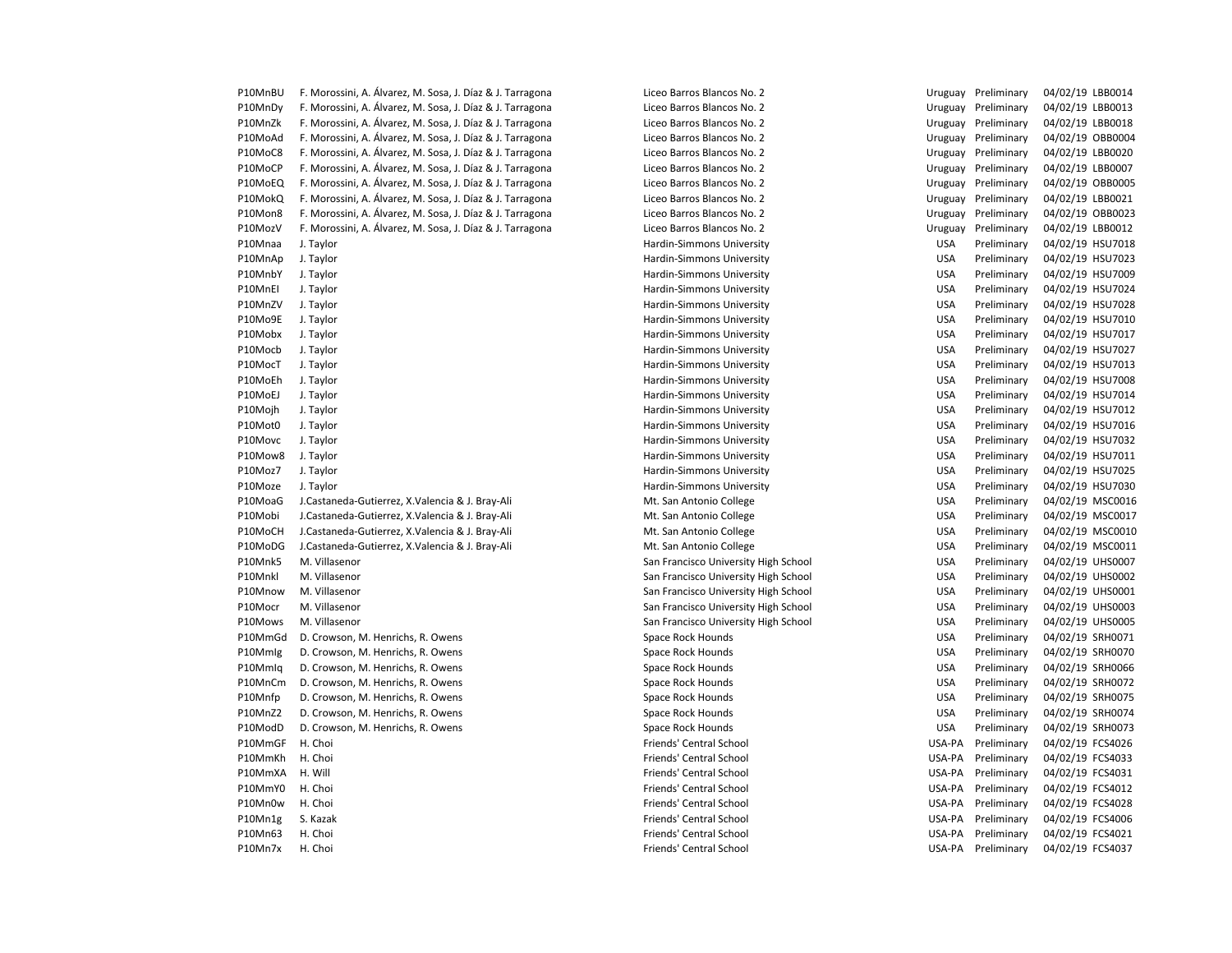| P10MnBU | F. Morossini, A. Álvarez, M. Sosa, J. Díaz & J. Tarragona | Liceo Barros Blancos No. 2           | Uruguay    | Preliminary        | 04/02/19 LBB0014 |
|---------|-----------------------------------------------------------|--------------------------------------|------------|--------------------|------------------|
| P10MnDy | F. Morossini, A. Álvarez, M. Sosa, J. Díaz & J. Tarragona | Liceo Barros Blancos No. 2           | Uruguay    | Preliminary        | 04/02/19 LBB0013 |
| P10MnZk | F. Morossini, A. Álvarez, M. Sosa, J. Díaz & J. Tarragona | Liceo Barros Blancos No. 2           | Uruguay    | Preliminary        | 04/02/19 LBB0018 |
| P10MoAd | F. Morossini, A. Álvarez, M. Sosa, J. Díaz & J. Tarragona | Liceo Barros Blancos No. 2           | Uruguay    | Preliminary        | 04/02/19 OBB0004 |
| P10MoC8 | F. Morossini, A. Álvarez, M. Sosa, J. Díaz & J. Tarragona | Liceo Barros Blancos No. 2           | Uruguay    | Preliminary        | 04/02/19 LBB0020 |
| P10MoCP | F. Morossini, A. Álvarez, M. Sosa, J. Díaz & J. Tarragona | Liceo Barros Blancos No. 2           | Uruguay    | Preliminary        | 04/02/19 LBB0007 |
| P10MoEQ | F. Morossini, A. Álvarez, M. Sosa, J. Díaz & J. Tarragona | Liceo Barros Blancos No. 2           | Uruguay    | Preliminary        | 04/02/19 OBB0005 |
| P10MokQ | F. Morossini, A. Álvarez, M. Sosa, J. Díaz & J. Tarragona | Liceo Barros Blancos No. 2           | Uruguay    | Preliminary        | 04/02/19 LBB0021 |
| P10Mon8 | F. Morossini, A. Álvarez, M. Sosa, J. Díaz & J. Tarragona | Liceo Barros Blancos No. 2           | Uruguay    | Preliminary        | 04/02/19 OBB0023 |
| P10MozV | F. Morossini, A. Álvarez, M. Sosa, J. Díaz & J. Tarragona | Liceo Barros Blancos No. 2           | Uruguay    | Preliminary        | 04/02/19 LBB0012 |
| P10Mnaa | J. Taylor                                                 | Hardin-Simmons University            | <b>USA</b> | Preliminary        | 04/02/19 HSU7018 |
| P10MnAp | J. Taylor                                                 | Hardin-Simmons University            | <b>USA</b> | Preliminary        | 04/02/19 HSU7023 |
| P10MnbY | J. Taylor                                                 | Hardin-Simmons University            | <b>USA</b> | Preliminary        | 04/02/19 HSU7009 |
| P10MnEI | J. Taylor                                                 | Hardin-Simmons University            | <b>USA</b> | Preliminary        | 04/02/19 HSU7024 |
| P10MnZV | J. Taylor                                                 | Hardin-Simmons University            | <b>USA</b> | Preliminary        | 04/02/19 HSU7028 |
| P10Mo9E | J. Taylor                                                 | Hardin-Simmons University            | <b>USA</b> | Preliminary        | 04/02/19 HSU7010 |
| P10Mobx | J. Taylor                                                 | Hardin-Simmons University            | <b>USA</b> | Preliminary        | 04/02/19 HSU7017 |
| P10Mocb | J. Taylor                                                 | Hardin-Simmons University            | <b>USA</b> | Preliminary        | 04/02/19 HSU7027 |
| P10MocT | J. Taylor                                                 | Hardin-Simmons University            | <b>USA</b> | Preliminary        | 04/02/19 HSU7013 |
| P10MoEh | J. Taylor                                                 | Hardin-Simmons University            | <b>USA</b> | Preliminary        | 04/02/19 HSU7008 |
| P10MoEJ | J. Taylor                                                 | Hardin-Simmons University            | <b>USA</b> | Preliminary        | 04/02/19 HSU7014 |
| P10Mojh | J. Taylor                                                 | Hardin-Simmons University            | <b>USA</b> | Preliminary        | 04/02/19 HSU7012 |
| P10Mot0 | J. Taylor                                                 | Hardin-Simmons University            | <b>USA</b> | Preliminary        | 04/02/19 HSU7016 |
| P10Movc | J. Taylor                                                 | Hardin-Simmons University            | <b>USA</b> | Preliminary        | 04/02/19 HSU7032 |
| P10Mow8 | J. Taylor                                                 | Hardin-Simmons University            | <b>USA</b> | Preliminary        | 04/02/19 HSU7011 |
| P10Moz7 | J. Taylor                                                 | Hardin-Simmons University            | <b>USA</b> | Preliminary        | 04/02/19 HSU7025 |
| P10Moze | J. Taylor                                                 | Hardin-Simmons University            | <b>USA</b> | Preliminary        | 04/02/19 HSU7030 |
| P10MoaG | J.Castaneda-Gutierrez, X.Valencia & J. Bray-Ali           | Mt. San Antonio College              | <b>USA</b> | Preliminary        | 04/02/19 MSC0016 |
| P10Mobi | J.Castaneda-Gutierrez, X.Valencia & J. Bray-Ali           | Mt. San Antonio College              | <b>USA</b> | Preliminary        | 04/02/19 MSC0017 |
| P10MoCH | J.Castaneda-Gutierrez, X.Valencia & J. Bray-Ali           | Mt. San Antonio College              | <b>USA</b> | Preliminary        | 04/02/19 MSC0010 |
| P10MoDG | J.Castaneda-Gutierrez, X.Valencia & J. Bray-Ali           | Mt. San Antonio College              | <b>USA</b> | Preliminary        | 04/02/19 MSC001: |
| P10Mnk5 | M. Villasenor                                             | San Francisco University High School | <b>USA</b> | Preliminary        | 04/02/19 UHS0007 |
| P10Mnkl | M. Villasenor                                             | San Francisco University High School | <b>USA</b> | Preliminary        | 04/02/19 UHS0002 |
| P10Mnow | M. Villasenor                                             | San Francisco University High School | <b>USA</b> | Preliminary        | 04/02/19 UHS0001 |
| P10Mocr | M. Villasenor                                             | San Francisco University High School | <b>USA</b> | Preliminary        | 04/02/19 UHS0003 |
| P10Mows | M. Villasenor                                             | San Francisco University High School | <b>USA</b> | Preliminary        | 04/02/19 UHS0005 |
| P10MmGd | D. Crowson, M. Henrichs, R. Owens                         | Space Rock Hounds                    | <b>USA</b> | Preliminary        | 04/02/19 SRH0071 |
| P10Mmlg | D. Crowson, M. Henrichs, R. Owens                         | Space Rock Hounds                    | <b>USA</b> | Preliminary        | 04/02/19 SRH0070 |
| P10Mmlq | D. Crowson, M. Henrichs, R. Owens                         | Space Rock Hounds                    | <b>USA</b> | Preliminary        | 04/02/19 SRH0066 |
| P10MnCm | D. Crowson, M. Henrichs, R. Owens                         | Space Rock Hounds                    | <b>USA</b> | Preliminary        | 04/02/19 SRH0072 |
| P10Mnfp | D. Crowson, M. Henrichs, R. Owens                         | Space Rock Hounds                    | <b>USA</b> | Preliminary        | 04/02/19 SRH0075 |
| P10MnZ2 | D. Crowson, M. Henrichs, R. Owens                         | Space Rock Hounds                    | <b>USA</b> | Preliminary        | 04/02/19 SRH0074 |
| P10ModD | D. Crowson, M. Henrichs, R. Owens                         | Space Rock Hounds                    | <b>USA</b> | Preliminary        | 04/02/19 SRH0073 |
| P10MmGF | H. Choi                                                   | Friends' Central School              | USA-PA     | Preliminary        | 04/02/19 FCS4026 |
| P10MmKh | H. Choi                                                   | Friends' Central School              | USA-PA     | Preliminary        | 04/02/19 FCS4033 |
| P10MmXA | H. Will                                                   | Friends' Central School              | USA-PA     | Preliminary        | 04/02/19 FCS4031 |
| P10MmY0 | H. Choi                                                   | Friends' Central School              | USA-PA     | Preliminary        | 04/02/19 FCS4012 |
| P10Mn0w | H. Choi                                                   | Friends' Central School              | USA-PA     | Preliminary        | 04/02/19 FCS4028 |
| P10Mn1g | S. Kazak                                                  | Friends' Central School              | USA-PA     | Preliminary        | 04/02/19 FCS4006 |
| P10Mn63 | H. Choi                                                   | <b>Friends' Central School</b>       | USA-PA     | Preliminary        | 04/02/19 FCS4021 |
| P10Mn7x | H. Choi                                                   | Friends' Central School              |            | USA-PA Preliminary | 04/02/19 FCS4037 |
|         |                                                           |                                      |            |                    |                  |

| Liceo Barros Biancos No. 2                   |                   | Uruguay Preliminary | 04/02/19 LBB0014 |                  |
|----------------------------------------------|-------------------|---------------------|------------------|------------------|
| Liceo Barros Blancos No. 2                   | Uruguay           | Preliminary         | 04/02/19 LBB0013 |                  |
| Liceo Barros Blancos No. 2                   | Uruguay           | Preliminary         | 04/02/19 LBB0018 |                  |
| Liceo Barros Blancos No. 2                   | Uruguay           | Preliminary         | 04/02/19 OBB0004 |                  |
| Liceo Barros Blancos No. 2                   | Uruguay           | Preliminary         | 04/02/19 LBB0020 |                  |
| Liceo Barros Blancos No. 2                   | Uruguay           | Preliminary         | 04/02/19 LBB0007 |                  |
| Liceo Barros Blancos No. 2                   | Uruguay           | Preliminary         | 04/02/19 OBB0005 |                  |
| Liceo Barros Blancos No. 2                   | Uruguay           | Preliminary         | 04/02/19 LBB0021 |                  |
| Liceo Barros Blancos No. 2                   | Uruguay           | Preliminary         |                  | 04/02/19 OBB0023 |
| Liceo Barros Blancos No. 2                   | Uruguay           | Preliminary         | 04/02/19 LBB0012 |                  |
| Hardin-Simmons University                    | <b>USA</b>        | Preliminary         |                  | 04/02/19 HSU7018 |
| Hardin-Simmons University                    | USA               | Preliminary         |                  | 04/02/19 HSU7023 |
| Hardin-Simmons University                    | USA               | Preliminary         |                  | 04/02/19 HSU7009 |
| Hardin-Simmons University                    | <b>USA</b>        | Preliminary         |                  | 04/02/19 HSU7024 |
| Hardin-Simmons University                    | <b>USA</b>        | Preliminary         |                  | 04/02/19 HSU7028 |
| Hardin-Simmons University                    | <b>USA</b>        | Preliminary         |                  | 04/02/19 HSU7010 |
| Hardin-Simmons University                    | <b>USA</b>        | Preliminary         |                  | 04/02/19 HSU7017 |
| Hardin-Simmons University                    | <b>USA</b>        | Preliminary         |                  | 04/02/19 HSU7027 |
| Hardin-Simmons University                    | <b>USA</b>        | Preliminary         |                  | 04/02/19 HSU7013 |
| Hardin-Simmons University                    | <b>USA</b>        | Preliminary         |                  | 04/02/19 HSU7008 |
| Hardin-Simmons University                    | <b>USA</b>        | Preliminary         |                  | 04/02/19 HSU7014 |
| Hardin-Simmons University                    | <b>USA</b>        | Preliminary         |                  | 04/02/19 HSU7012 |
| Hardin-Simmons University                    | <b>USA</b>        | Preliminary         |                  | 04/02/19 HSU7016 |
| Hardin-Simmons University                    | <b>USA</b>        | Preliminary         |                  | 04/02/19 HSU7032 |
| Hardin-Simmons University                    | <b>USA</b>        | Preliminary         |                  | 04/02/19 HSU7011 |
| Hardin-Simmons University                    | USA               | Preliminary         |                  | 04/02/19 HSU7025 |
| Hardin-Simmons University                    | <b>USA</b>        | Preliminary         |                  | 04/02/19 HSU7030 |
| Mt. San Antonio College                      | <b>USA</b>        | Preliminary         |                  | 04/02/19 MSC0016 |
| Mt. San Antonio College                      | <b>USA</b>        | Preliminary         |                  | 04/02/19 MSC0017 |
| Mt. San Antonio College                      | <b>USA</b>        | Preliminary         |                  | 04/02/19 MSC0010 |
| Mt. San Antonio College                      | <b>USA</b>        | Preliminary         |                  | 04/02/19 MSC0011 |
| San Francisco University High School         | <b>USA</b>        | Preliminary         |                  | 04/02/19 UHS0007 |
| San Francisco University High School         | <b>USA</b>        | Preliminary         |                  | 04/02/19 UHS0002 |
| San Francisco University High School         | USA               | Preliminary         |                  | 04/02/19 UHS0001 |
| San Francisco University High School         | <b>USA</b>        | Preliminary         |                  | 04/02/19 UHS0003 |
| San Francisco University High School         | <b>USA</b>        | Preliminary         |                  | 04/02/19 UHS0005 |
| Space Rock Hounds                            | <b>USA</b>        | Preliminary         | 04/02/19 SRH0071 |                  |
| Space Rock Hounds                            | <b>USA</b>        | Preliminary         | 04/02/19 SRH0070 |                  |
| Space Rock Hounds                            | <b>USA</b>        | Preliminary         | 04/02/19 SRH0066 |                  |
| Space Rock Hounds                            | <b>USA</b>        | Preliminary         | 04/02/19 SRH0072 |                  |
| Space Rock Hounds                            | <b>USA</b>        | Preliminary         | 04/02/19 SRH0075 |                  |
|                                              |                   | Preliminary         | 04/02/19 SRH0074 |                  |
| Space Rock Hounds                            | USA<br><b>USA</b> | Preliminary         |                  |                  |
| Space Rock Hounds<br>Friends' Central School |                   |                     | 04/02/19 SRH0073 |                  |
|                                              | USA-PA            | Preliminary         | 04/02/19 FCS4026 |                  |
| Friends' Central School                      | USA-PA            | Preliminary         | 04/02/19 FCS4033 |                  |
| Friends' Central School                      | USA-PA            | Preliminary         | 04/02/19 FCS4031 |                  |
| Friends' Central School                      | USA-PA            | Preliminary         | 04/02/19 FCS4012 |                  |
| Friends' Central School                      | USA-PA            | Preliminary         | 04/02/19 FCS4028 |                  |
| Friends' Central School                      | USA-PA            | Preliminary         | 04/02/19 FCS4006 |                  |
| Friends' Central School                      | USA-PA            | Preliminary         | 04/02/19 FCS4021 |                  |
| Friends' Central School                      | USA-PA            | Preliminary         | 04/02/19 FCS4037 |                  |